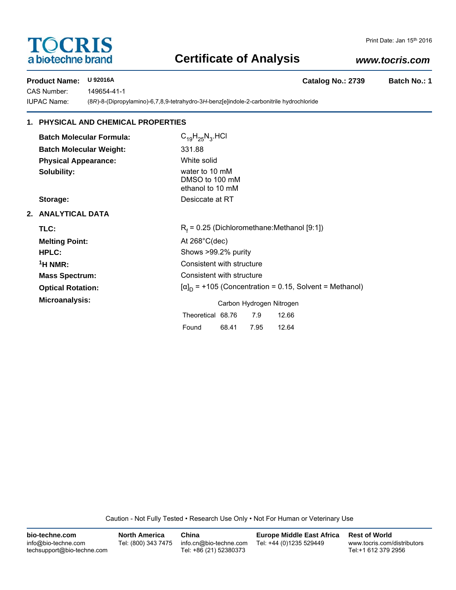# **TOCRIS** a biotechne brand

## **Certificate of Analysis**

## *www.tocris.com*

**Product Name: U 92016A Catalog No.: 2739 Batch No.: 1**

CAS Number: 149654-41-1

IUPAC Name: (8*R*)-8-(Dipropylamino)-6,7,8,9-tetrahydro-3*H*-benz[e]indole-2-carbonitrile hydrochloride

## **1. PHYSICAL AND CHEMICAL PROPERTIES**

**Batch Molecular Formula:** C<sub>19</sub>H<sub>25</sub>N<sub>3</sub>.HCl **Batch Molecular Weight:** 331.88 **Physical Appearance:** White solid **Solubility:** water to 10 mM

DMSO to 100 mM ethanol to 10 mM **Storage:** Desiccate at RT

### **2. ANALYTICAL DATA**

| TLC:                     | $R_f$ = 0.25 (Dichloromethane: Methanol [9:1])                 |  |  |  |  |
|--------------------------|----------------------------------------------------------------|--|--|--|--|
| <b>Melting Point:</b>    | At $268^{\circ}$ C(dec)                                        |  |  |  |  |
| <b>HPLC:</b>             | Shows >99.2% purity                                            |  |  |  |  |
| <sup>1</sup> H NMR:      | Consistent with structure                                      |  |  |  |  |
| <b>Mass Spectrum:</b>    | Consistent with structure                                      |  |  |  |  |
| <b>Optical Rotation:</b> | $[\alpha]_D$ = +105 (Concentration = 0.15, Solvent = Methanol) |  |  |  |  |
| Microanalysis:           | Carbon Hydrogen Nitrogen                                       |  |  |  |  |
|                          | Theoretical 68.76<br>7.9<br>12.66                              |  |  |  |  |
|                          | 68.41<br>7.95<br>12.64<br>Found                                |  |  |  |  |

Caution - Not Fully Tested • Research Use Only • Not For Human or Veterinary Use

| bio-techne.com                                    | <b>North America</b> | China                                            | <b>Europe Middle East Africa</b> | <b>Rest of World</b>                               |
|---------------------------------------------------|----------------------|--------------------------------------------------|----------------------------------|----------------------------------------------------|
| info@bio-techne.com<br>techsupport@bio-techne.com | Tel: (800) 343 7475  | info.cn@bio-techne.com<br>Tel: +86 (21) 52380373 | Tel: +44 (0)1235 529449          | www.tocris.com/distributors<br>Tel:+1 612 379 2956 |